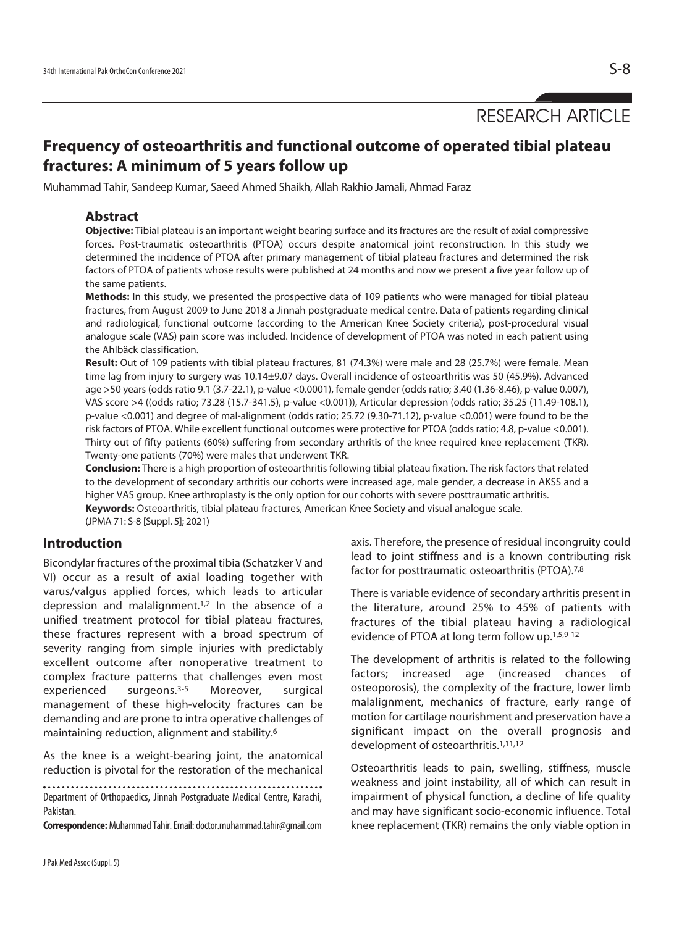RESEARCH ARTICLE

# **Frequency of osteoarthritis and functional outcome of operated tibial plateau fractures: A minimum of 5 years follow up**

Muhammad Tahir, Sandeep Kumar, Saeed Ahmed Shaikh, Allah Rakhio Jamali, Ahmad Faraz

### **Abstract**

**Objective:** Tibial plateau is an important weight bearing surface and its fractures are the result of axial compressive forces. Post-traumatic osteoarthritis (PTOA) occurs despite anatomical joint reconstruction. In this study we determined the incidence of PTOA after primary management of tibial plateau fractures and determined the risk factors of PTOA of patients whose results were published at 24 months and now we present a five year follow up of the same patients.

**Methods:** In this study, we presented the prospective data of 109 patients who were managed for tibial plateau fractures, from August 2009 to June 2018 a Jinnah postgraduate medical centre. Data of patients regarding clinical and radiological, functional outcome (according to the American Knee Society criteria), post-procedural visual analogue scale (VAS) pain score was included. Incidence of development of PTOA was noted in each patient using the Ahlbäck classification.

**Result:** Out of 109 patients with tibial plateau fractures, 81 (74.3%) were male and 28 (25.7%) were female. Mean time lag from injury to surgery was 10.14±9.07 days. Overall incidence of osteoarthritis was 50 (45.9%). Advanced age >50 years (odds ratio 9.1 (3.7-22.1), p-value <0.0001), female gender (odds ratio; 3.40 (1.36-8.46), p-value 0.007), VAS score >4 ((odds ratio; 73.28 (15.7-341.5), p-value <0.001)), Articular depression (odds ratio; 35.25 (11.49-108.1), p-value <0.001) and degree of mal-alignment (odds ratio; 25.72 (9.30-71.12), p-value <0.001) were found to be the risk factors of PTOA. While excellent functional outcomes were protective for PTOA (odds ratio; 4.8, p-value <0.001). Thirty out of fifty patients (60%) suffering from secondary arthritis of the knee required knee replacement (TKR). Twenty-one patients (70%) were males that underwent TKR.

**Conclusion:** There is a high proportion of osteoarthritis following tibial plateau fixation. The risk factors that related to the development of secondary arthritis our cohorts were increased age, male gender, a decrease in AKSS and a higher VAS group. Knee arthroplasty is the only option for our cohorts with severe posttraumatic arthritis. **Keywords:** Osteoarthritis, tibial plateau fractures, American Knee Society and visual analogue scale. (JPMA 71: S-8 [Suppl. 5]; 2021)

### **Introduction**

Bicondylar fractures of the proximal tibia (Schatzker V and VI) occur as a result of axial loading together with varus/valgus applied forces, which leads to articular depression and malalignment.1,2 In the absence of a unified treatment protocol for tibial plateau fractures, these fractures represent with a broad spectrum of severity ranging from simple injuries with predictably excellent outcome after nonoperative treatment to complex fracture patterns that challenges even most experienced surgeons.3-5 Moreover, surgical management of these high-velocity fractures can be demanding and are prone to intra operative challenges of maintaining reduction, alignment and stability.6

As the knee is a weight-bearing joint, the anatomical reduction is pivotal for the restoration of the mechanical

Department of Orthopaedics, Jinnah Postgraduate Medical Centre, Karachi, Pakistan.

**Correspondence:** Muhammad Tahir. Email: doctor.muhammad.tahir@gmail.com

axis. Therefore, the presence of residual incongruity could lead to joint stiffness and is a known contributing risk factor for posttraumatic osteoarthritis (PTOA).7,8

There is variable evidence of secondary arthritis present in the literature, around 25% to 45% of patients with fractures of the tibial plateau having a radiological evidence of PTOA at long term follow up.<sup>1,5,9-12</sup>

The development of arthritis is related to the following factors; increased age (increased chances of osteoporosis), the complexity of the fracture, lower limb malalignment, mechanics of fracture, early range of motion for cartilage nourishment and preservation have a significant impact on the overall prognosis and development of osteoarthritis.<sup>1,11,12</sup>

Osteoarthritis leads to pain, swelling, stiffness, muscle weakness and joint instability, all of which can result in impairment of physical function, a decline of life quality and may have significant socio-economic influence. Total knee replacement (TKR) remains the only viable option in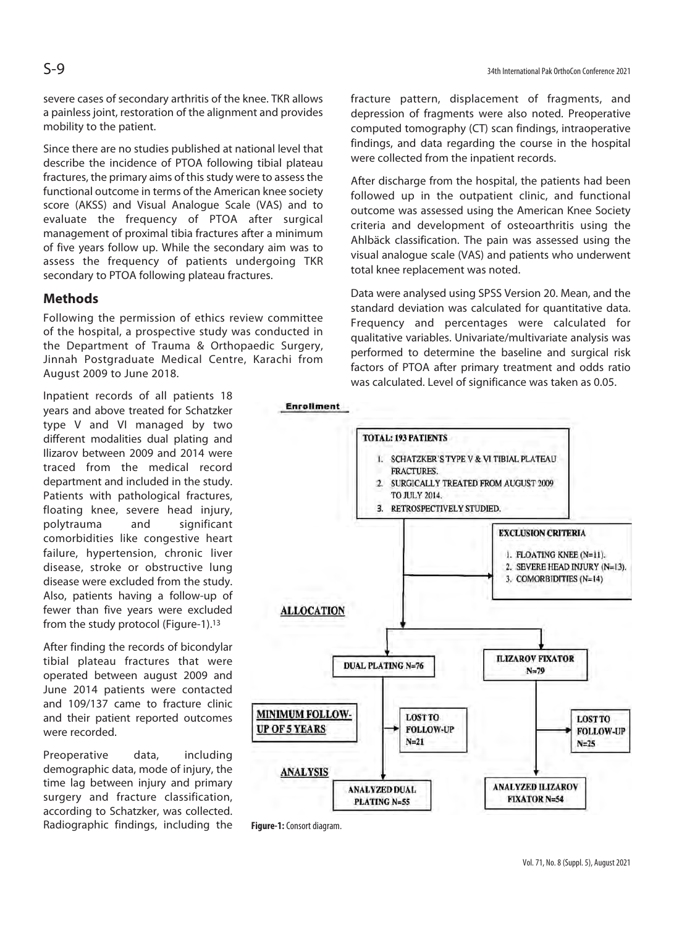severe cases of secondary arthritis of the knee. TKR allows a painless joint, restoration of the alignment and provides mobility to the patient.

Since there are no studies published at national level that describe the incidence of PTOA following tibial plateau fractures, the primary aims of this study were to assess the functional outcome in terms of the American knee society score (AKSS) and Visual Analogue Scale (VAS) and to evaluate the frequency of PTOA after surgical management of proximal tibia fractures after a minimum of five years follow up. While the secondary aim was to assess the frequency of patients undergoing TKR secondary to PTOA following plateau fractures.

### **Methods**

Following the permission of ethics review committee of the hospital, a prospective study was conducted in the Department of Trauma & Orthopaedic Surgery, Jinnah Postgraduate Medical Centre, Karachi from August 2009 to June 2018.

Inpatient records of all patients 18 years and above treated for Schatzker type V and VI managed by two different modalities dual plating and Ilizarov between 2009 and 2014 were traced from the medical record department and included in the study. Patients with pathological fractures, floating knee, severe head injury, polytrauma and significant comorbidities like congestive heart failure, hypertension, chronic liver disease, stroke or obstructive lung disease were excluded from the study. Also, patients having a follow-up of fewer than five years were excluded from the study protocol (Figure-1).13

After finding the records of bicondylar tibial plateau fractures that were operated between august 2009 and June 2014 patients were contacted and 109/137 came to fracture clinic and their patient reported outcomes were recorded.

Preoperative data, including demographic data, mode of injury, the time lag between injury and primary surgery and fracture classification, according to Schatzker, was collected. Radiographic findings, including the fracture pattern, displacement of fragments, and depression of fragments were also noted. Preoperative computed tomography (CT) scan findings, intraoperative findings, and data regarding the course in the hospital were collected from the inpatient records.

After discharge from the hospital, the patients had been followed up in the outpatient clinic, and functional outcome was assessed using the American Knee Society criteria and development of osteoarthritis using the Ahlbäck classification. The pain was assessed using the visual analogue scale (VAS) and patients who underwent total knee replacement was noted.

Data were analysed using SPSS Version 20. Mean, and the standard deviation was calculated for quantitative data. Frequency and percentages were calculated for qualitative variables. Univariate/multivariate analysis was performed to determine the baseline and surgical risk factors of PTOA after primary treatment and odds ratio was calculated. Level of significance was taken as 0.05.



**Figure-1:** Consort diagram.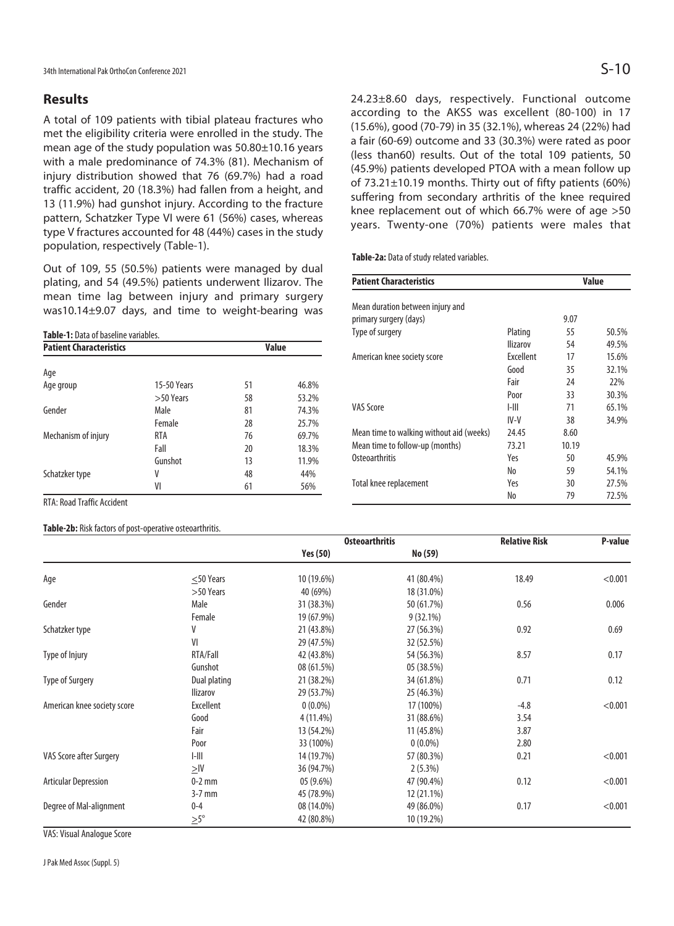### **Results**

A total of 109 patients with tibial plateau fractures who met the eligibility criteria were enrolled in the study. The mean age of the study population was 50.80±10.16 years with a male predominance of 74.3% (81). Mechanism of injury distribution showed that 76 (69.7%) had a road traffic accident, 20 (18.3%) had fallen from a height, and 13 (11.9%) had gunshot injury. According to the fracture pattern, Schatzker Type VI were 61 (56%) cases, whereas type V fractures accounted for 48 (44%) cases in the study population, respectively (Table-1).

Out of 109, 55 (50.5%) patients were managed by dual plating, and 54 (49.5%) patients underwent Ilizarov. The mean time lag between injury and primary surgery was10.14±9.07 days, and time to weight-bearing was

**Table-1:** Data of baseline variables.

| <b>Patient Characteristics</b> |             |    | Value |
|--------------------------------|-------------|----|-------|
| Age                            |             |    |       |
| Age group                      | 15-50 Years | 51 | 46.8% |
|                                | $>50$ Years | 58 | 53.2% |
| Gender                         | Male        | 81 | 74.3% |
|                                | Female      | 28 | 25.7% |
| Mechanism of injury            | RTA         | 76 | 69.7% |
|                                | Fall        | 20 | 18.3% |
|                                | Gunshot     | 13 | 11.9% |
| Schatzker type                 | ٧           | 48 | 44%   |
|                                | VI          | 61 | 56%   |

24.23±8.60 days, respectively. Functional outcome according to the AKSS was excellent (80-100) in 17 (15.6%), good (70-79) in 35 (32.1%), whereas 24 (22%) had a fair (60-69) outcome and 33 (30.3%) were rated as poor (less than60) results. Out of the total 109 patients, 50 (45.9%) patients developed PTOA with a mean follow up of 73.21±10.19 months. Thirty out of fifty patients (60%) suffering from secondary arthritis of the knee required knee replacement out of which 66.7% were of age >50 years. Twenty-one (70%) patients were males that

**Table-2a:** Data of study related variables.

| <b>Patient Characteristics</b>           |                 | Value |       |
|------------------------------------------|-----------------|-------|-------|
| Mean duration between injury and         |                 |       |       |
| primary surgery (days)                   |                 | 9.07  |       |
| Type of surgery                          | Plating         | 55    | 50.5% |
|                                          | <b>Ilizarov</b> | 54    | 49.5% |
| American knee society score              | Excellent       | 17    | 15.6% |
|                                          | Good            | 35    | 32.1% |
|                                          | Fair            | 24    | 22%   |
|                                          | Poor            | 33    | 30.3% |
| VAS Score                                | $I-III$         | 71    | 65.1% |
|                                          | IV-V            | 38    | 34.9% |
| Mean time to walking without aid (weeks) | 24.45           | 8.60  |       |
| Mean time to follow-up (months)          | 73.21           | 10.19 |       |
| Osteoarthritis                           | Yes             | 50    | 45.9% |
|                                          | No              | 59    | 54.1% |
| Total knee replacement                   | Yes             | 30    | 27.5% |
|                                          | No              | 79    | 72.5% |

RTA: Road Traffic Accident

#### **Table-2b:** Risk factors of post-operative osteoarthritis.

|                             |                  | <b>Osteoarthritis</b> |             | <b>Relative Risk</b> | P-value |
|-----------------------------|------------------|-----------------------|-------------|----------------------|---------|
|                             |                  | <b>Yes (50)</b>       | No (59)     |                      |         |
| Age                         | $<$ 50 Years     | 10 (19.6%)            | 41 (80.4%)  | 18.49                | < 0.001 |
|                             | >50 Years        | 40 (69%)              | 18 (31.0%)  |                      |         |
| Gender                      | Male             | 31 (38.3%)            | 50 (61.7%)  | 0.56                 | 0.006   |
|                             | Female           | 19 (67.9%)            | $9(32.1\%)$ |                      |         |
| Schatzker type              | V                | 21 (43.8%)            | 27 (56.3%)  | 0.92                 | 0.69    |
|                             | VI               | 29 (47.5%)            | 32 (52.5%)  |                      |         |
| Type of Injury              | RTA/Fall         | 42 (43.8%)            | 54 (56.3%)  | 8.57                 | 0.17    |
|                             | Gunshot          | 08 (61.5%)            | 05 (38.5%)  |                      |         |
| <b>Type of Surgery</b>      | Dual plating     | 21 (38.2%)            | 34 (61.8%)  | 0.71                 | 0.12    |
|                             | <b>Ilizarov</b>  | 29 (53.7%)            | 25 (46.3%)  |                      |         |
| American knee society score | Excellent        | $0(0.0\%)$            | 17 (100%)   | $-4.8$               | < 0.001 |
|                             | Good             | 4 (11.4%)             | 31 (88.6%)  | 3.54                 |         |
|                             | Fair             | 13 (54.2%)            | 11 (45.8%)  | 3.87                 |         |
|                             | Poor             | 33 (100%)             | $0(0.0\%)$  | 2.80                 |         |
| VAS Score after Surgery     | $1 - 111$        | 14 (19.7%)            | 57 (80.3%)  | 0.21                 | < 0.001 |
|                             | $\geq$ IV        | 36 (94.7%)            | $2(5.3\%)$  |                      |         |
| <b>Articular Depression</b> | $0-2$ mm         | $05(9.6\%)$           | 47 (90.4%)  | 0.12                 | < 0.001 |
|                             | $3-7$ mm         | 45 (78.9%)            | 12 (21.1%)  |                      |         |
| Degree of Mal-alignment     | $0 - 4$          | 08 (14.0%)            | 49 (86.0%)  | 0.17                 | < 0.001 |
|                             | $\geq 5^{\circ}$ | 42 (80.8%)            | 10 (19.2%)  |                      |         |

VAS: Visual Analogue Score

J Pak Med Assoc (Suppl. 5)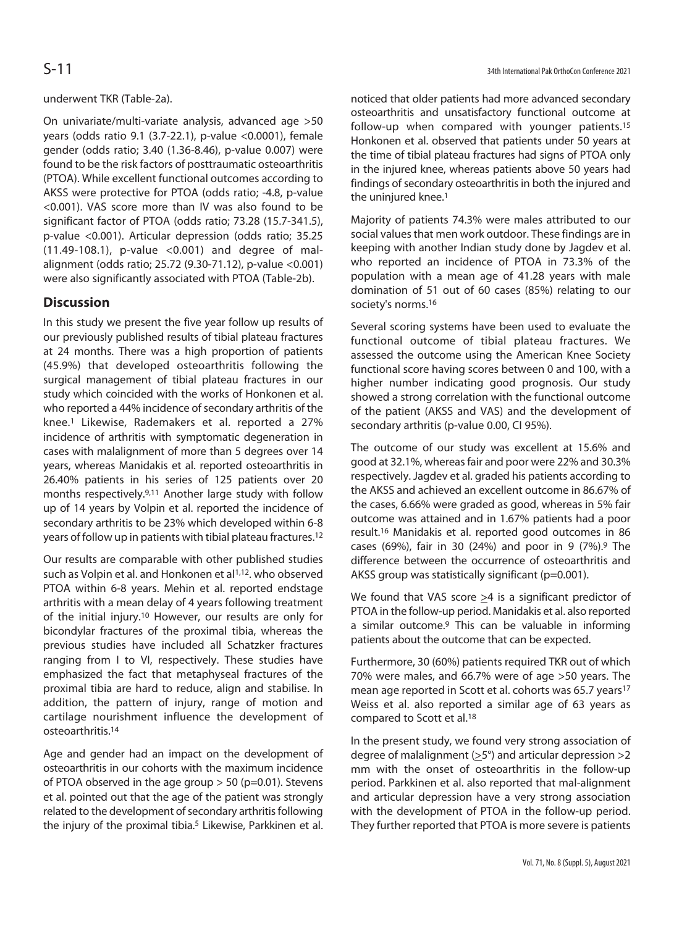### underwent TKR (Table-2a).

On univariate/multi-variate analysis, advanced age >50 years (odds ratio 9.1 (3.7-22.1), p-value <0.0001), female gender (odds ratio; 3.40 (1.36-8.46), p-value 0.007) were found to be the risk factors of posttraumatic osteoarthritis (PTOA). While excellent functional outcomes according to AKSS were protective for PTOA (odds ratio; -4.8, p-value <0.001). VAS score more than IV was also found to be significant factor of PTOA (odds ratio; 73.28 (15.7-341.5), p-value <0.001). Articular depression (odds ratio; 35.25 (11.49-108.1), p-value <0.001) and degree of malalignment (odds ratio; 25.72 (9.30-71.12), p-value <0.001) were also significantly associated with PTOA (Table-2b).

## **Discussion**

In this study we present the five year follow up results of our previously published results of tibial plateau fractures at 24 months. There was a high proportion of patients (45.9%) that developed osteoarthritis following the surgical management of tibial plateau fractures in our study which coincided with the works of Honkonen et al. who reported a 44% incidence of secondary arthritis of the knee.1 Likewise, Rademakers et al. reported a 27% incidence of arthritis with symptomatic degeneration in cases with malalignment of more than 5 degrees over 14 years, whereas Manidakis et al. reported osteoarthritis in 26.40% patients in his series of 125 patients over 20 months respectively.9,11 Another large study with follow up of 14 years by Volpin et al. reported the incidence of secondary arthritis to be 23% which developed within 6-8 years of follow up in patients with tibial plateau fractures.12

Our results are comparable with other published studies such as Volpin et al. and Honkonen et al<sup>1,12</sup>, who observed PTOA within 6-8 years. Mehin et al. reported endstage arthritis with a mean delay of 4 years following treatment of the initial injury.10 However, our results are only for bicondylar fractures of the proximal tibia, whereas the previous studies have included all Schatzker fractures ranging from I to VI, respectively. These studies have emphasized the fact that metaphyseal fractures of the proximal tibia are hard to reduce, align and stabilise. In addition, the pattern of injury, range of motion and cartilage nourishment influence the development of osteoarthritis.14

Age and gender had an impact on the development of osteoarthritis in our cohorts with the maximum incidence of PTOA observed in the age group > 50 (p=0.01). Stevens et al. pointed out that the age of the patient was strongly related to the development of secondary arthritis following the injury of the proximal tibia.<sup>5</sup> Likewise, Parkkinen et al.

noticed that older patients had more advanced secondary osteoarthritis and unsatisfactory functional outcome at follow-up when compared with younger patients.15 Honkonen et al. observed that patients under 50 years at the time of tibial plateau fractures had signs of PTOA only in the injured knee, whereas patients above 50 years had findings of secondary osteoarthritis in both the injured and the uninjured knee.<sup>1</sup>

Majority of patients 74.3% were males attributed to our social values that men work outdoor. These findings are in keeping with another Indian study done by Jagdev et al. who reported an incidence of PTOA in 73.3% of the population with a mean age of 41.28 years with male domination of 51 out of 60 cases (85%) relating to our society's norms.16

Several scoring systems have been used to evaluate the functional outcome of tibial plateau fractures. We assessed the outcome using the American Knee Society functional score having scores between 0 and 100, with a higher number indicating good prognosis. Our study showed a strong correlation with the functional outcome of the patient (AKSS and VAS) and the development of secondary arthritis (p-value 0.00, CI 95%).

The outcome of our study was excellent at 15.6% and good at 32.1%, whereas fair and poor were 22% and 30.3% respectively. Jagdev et al. graded his patients according to the AKSS and achieved an excellent outcome in 86.67% of the cases, 6.66% were graded as good, whereas in 5% fair outcome was attained and in 1.67% patients had a poor result.16 Manidakis et al. reported good outcomes in 86 cases (69%), fair in 30 (24%) and poor in 9 (7%).9 The difference between the occurrence of osteoarthritis and AKSS group was statistically significant (p=0.001).

We found that VAS score  $\geq$ 4 is a significant predictor of PTOA in the follow-up period. Manidakis et al. also reported a similar outcome.<sup>9</sup> This can be valuable in informing patients about the outcome that can be expected.

Furthermore, 30 (60%) patients required TKR out of which 70% were males, and 66.7% were of age >50 years. The mean age reported in Scott et al. cohorts was 65.7 years<sup>17</sup> Weiss et al. also reported a similar age of 63 years as compared to Scott et al.18

In the present study, we found very strong association of degree of malalignment ( $\geq$ 5°) and articular depression >2 mm with the onset of osteoarthritis in the follow-up period. Parkkinen et al. also reported that mal-alignment and articular depression have a very strong association with the development of PTOA in the follow-up period. They further reported that PTOA is more severe is patients